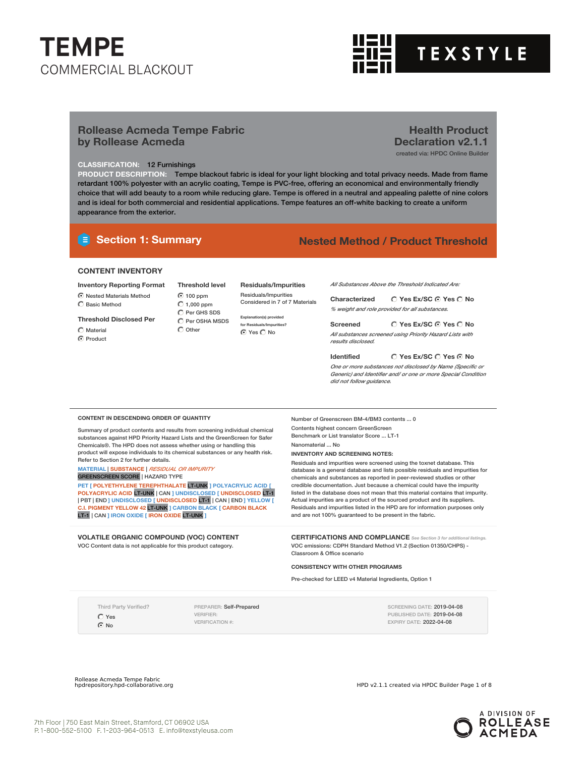

**Health Product Declaration v2.1.1** created via: HPDC Online Builder

### **Rollease Acmeda Tempe Fabric by Rollease Acmeda**

### **CLASSIFICATION:** 12 Furnishings

**PRODUCT DESCRIPTION:** Tempe blackout fabric is ideal for your light blocking and total privacy needs. Made from flame retardant 100% polyester with an acrylic coating, Tempe is PVC-free, offering an economical and environmentally friendly choice that will add beauty to a room while reducing glare. Tempe is offered in a neutral and appealing palette of nine colors and is ideal for both commercial and residential applications. Tempe features an off-white backing to create a uniform appearance from the exterior.

### **Section 1: Summary Nested Method / Product Threshold**

### **CONTENT INVENTORY**

### **Inventory Reporting Format**

### $\odot$  Nested Materials Method

Basic Method

### **Threshold Disclosed Per**

 $\bigcap$  Material

C Product

**Threshold level** 100 ppm  $C$  1,000 ppm  $\bigcirc$  Per GHS SDS  $\hat{C}$  Per OSHA MSDS  $\bigcap$  Other

#### **Residuals/Impurities** Residuals/Impurities Considered in 7 of 7 Materials

**Explanation(s) provided for Residuals/Impurities?**

⊙ Yes C No

*All Substances Above the Threshold Indicated Are:*

**Yes Ex/SC Yes No Characterized** *% weight and role provided for all substances.*

**Yes Ex/SC Yes No Screened** *All substances screened using Priority Hazard Lists with results disclosed.*

**Yes Ex/SC Yes No Identified** *One or more substances not disclosed by Name (Specific or Generic) and Identifier and/ or one or more Special Condition did not follow guidance.*

#### **CONTENT IN DESCENDING ORDER OF QUANTITY**

Summary of product contents and results from screening individual chemical substances against HPD Priority Hazard Lists and the GreenScreen for Safer Chemicals®. The HPD does not assess whether using or handling this product will expose individuals to its chemical substances or any health risk. Refer to Section 2 for further details.

**MATERIAL** | **SUBSTANCE** | *RESIDUAL OR IMPURITY*

GREENSCREEN SCORE | HAZARD TYPE

**PET [ POLYETHYLENE TEREPHTHALATE** LT-UNK **] POLYACRYLIC ACID [ POLYACRYLIC ACID** LT-UNK | CAN **] UNDISCLOSED [ UNDISCLOSED** LT-1 | PBT | END **] UNDISCLOSED [ UNDISCLOSED** LT-1 | CAN | END **] YELLOW [ C.I. PIGMENT YELLOW 42** LT-UNK **] CARBON BLACK [ CARBON BLACK** LT-1 | CAN **] IRON OXIDE [ IRON OXIDE** LT-UNK **]**

**VOLATILE ORGANIC COMPOUND (VOC) CONTENT** VOC Content data is not applicable for this product category.

Number of Greenscreen BM-4/BM3 contents ... 0 Contents highest concern GreenScreen Benchmark or List translator Score ... LT-1 Nanomaterial ... No

#### **INVENTORY AND SCREENING NOTES:**

Residuals and impurities were screened using the toxnet database. This database is a general database and lists possible residuals and impurities for chemicals and substances as reported in peer-reviewed studies or other credible documentation. Just because a chemical could have the impurity listed in the database does not mean that this material contains that impurity. Actual impurities are a product of the sourced product and its suppliers. Residuals and impurities listed in the HPD are for information purposes only and are not 100% guaranteed to be present in the fabric.

**CERTIFICATIONS AND COMPLIANCE** *See Section <sup>3</sup> for additional listings.* VOC emissions: CDPH Standard Method V1.2 (Section 01350/CHPS) - Classroom & Office scenario

#### **CONSISTENCY WITH OTHER PROGRAMS**

Pre-checked for LEED v4 Material Ingredients, Option 1

Third Party Verified? Yes

 $\odot$  No

PREPARER: Self-Prepared VERIFIER: VERIFICATION #:

SCREENING DATE: 2019-04-08 PUBLISHED DATE: 2019-04-08 EXPIRY DATE: 2022-04-08

Rollease Acmeda Tempe Fabric

HPD v2.1.1 created via HPDC Builder Page 1 of 8

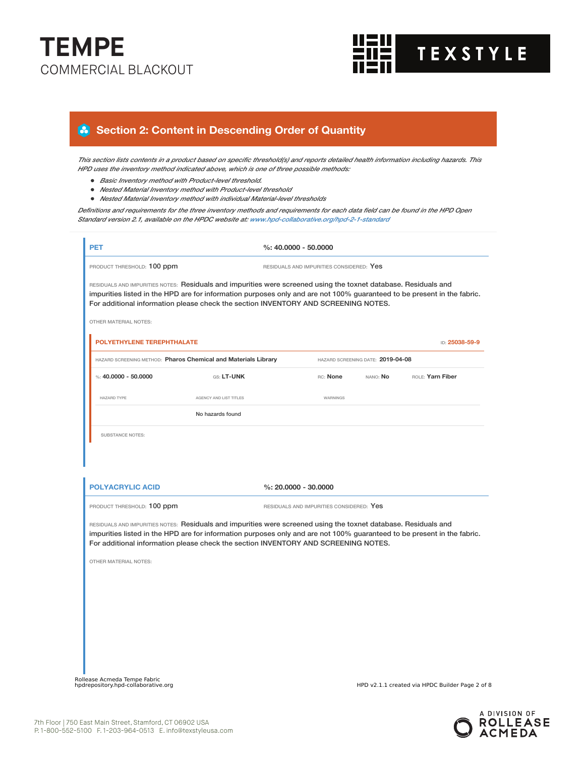

## **Section 2: Content in Descending Order of Quantity**

This section lists contents in a product based on specific threshold(s) and reports detailed health information including hazards. This *HPD uses the inventory method indicated above, which is one of three possible methods:*

- *Basic Inventory method with Product-level threshold.*
- *Nested Material Inventory method with Product-level threshold*
- *Nested Material Inventory method with individual Material-level thresholds*

Definitions and requirements for the three inventory methods and requirements for each data field can be found in the HPD Open *Standard version 2.1, available on the HPDC website at: www.hpd-collaborative.org/hpd-2-1-standard*

| <b>PET</b>                                                             |                                                                                                                                                                                                                                                                                                                                  | $%: 40,0000 - 50,0000$                   |                                   |                  |
|------------------------------------------------------------------------|----------------------------------------------------------------------------------------------------------------------------------------------------------------------------------------------------------------------------------------------------------------------------------------------------------------------------------|------------------------------------------|-----------------------------------|------------------|
| PRODUCT THRESHOLD: 100 ppm<br>RESIDUALS AND IMPURITIES CONSIDERED: Yes |                                                                                                                                                                                                                                                                                                                                  |                                          |                                   |                  |
|                                                                        | RESIDUALS AND IMPURITIES NOTES: Residuals and impurities were screened using the toxnet database. Residuals and<br>impurities listed in the HPD are for information purposes only and are not 100% guaranteed to be present in the fabric.<br>For additional information please check the section INVENTORY AND SCREENING NOTES. |                                          |                                   |                  |
| <b>OTHER MATERIAL NOTES:</b>                                           |                                                                                                                                                                                                                                                                                                                                  |                                          |                                   |                  |
| POLYETHYLENE TEREPHTHALATE                                             |                                                                                                                                                                                                                                                                                                                                  |                                          |                                   | ID: 25038-59-9   |
|                                                                        | HAZARD SCREENING METHOD: Pharos Chemical and Materials Library                                                                                                                                                                                                                                                                   |                                          | HAZARD SCREENING DATE: 2019-04-08 |                  |
| %: $40.0000 - 50.0000$                                                 | GS: LT-UNK                                                                                                                                                                                                                                                                                                                       | RC: None                                 | NANO: No                          | ROLE: Yarn Fiber |
| HAZARD TYPE                                                            | AGENCY AND LIST TITLES                                                                                                                                                                                                                                                                                                           | <b>WARNINGS</b>                          |                                   |                  |
|                                                                        | No hazards found                                                                                                                                                                                                                                                                                                                 |                                          |                                   |                  |
| <b>SUBSTANCE NOTES:</b><br><b>POLYACRYLIC ACID</b>                     |                                                                                                                                                                                                                                                                                                                                  | $\%: 20.0000 - 30.0000$                  |                                   |                  |
| PRODUCT THRESHOLD: 100 ppm                                             |                                                                                                                                                                                                                                                                                                                                  | RESIDUALS AND IMPURITIES CONSIDERED: Yes |                                   |                  |
| OTHER MATERIAL NOTES:                                                  | RESIDUALS AND IMPURITIES NOTES: Residuals and impurities were screened using the toxnet database. Residuals and<br>impurities listed in the HPD are for information purposes only and are not 100% guaranteed to be present in the fabric.<br>For additional information please check the section INVENTORY AND SCREENING NOTES. |                                          |                                   |                  |
|                                                                        |                                                                                                                                                                                                                                                                                                                                  |                                          |                                   |                  |

Rollease Acmeda Tempe Fabric<br>hpdrepository.hpd-collaborative.org

HPD v2.1.1 created via HPDC Builder Page 2 of 8

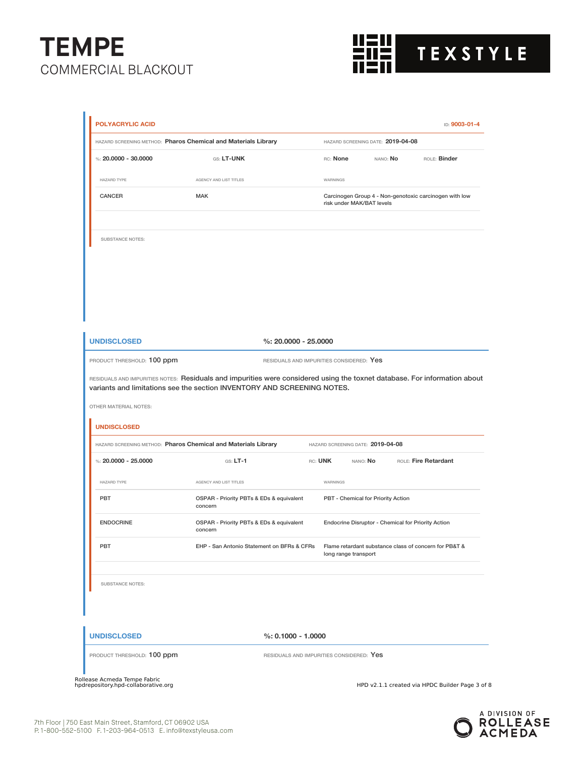

| HAZARD SCREENING METHOD: Pharos Chemical and Materials Library                                                                                                                                                                                      |                                                     | HAZARD SCREENING DATE: 2019-04-08        |                                   |                                                    |                                                        |
|-----------------------------------------------------------------------------------------------------------------------------------------------------------------------------------------------------------------------------------------------------|-----------------------------------------------------|------------------------------------------|-----------------------------------|----------------------------------------------------|--------------------------------------------------------|
| %: $20.0000 - 30.0000$                                                                                                                                                                                                                              | GS: LT-UNK                                          |                                          | RC: None                          | nano: <b>No</b>                                    | ROLE: Binder                                           |
| HAZARD TYPE                                                                                                                                                                                                                                         | AGENCY AND LIST TITLES                              |                                          | WARNINGS                          |                                                    |                                                        |
| CANCER                                                                                                                                                                                                                                              | <b>MAK</b>                                          |                                          | risk under MAK/BAT levels         |                                                    | Carcinogen Group 4 - Non-genotoxic carcinogen with low |
| SUBSTANCE NOTES:                                                                                                                                                                                                                                    |                                                     |                                          |                                   |                                                    |                                                        |
|                                                                                                                                                                                                                                                     |                                                     |                                          |                                   |                                                    |                                                        |
|                                                                                                                                                                                                                                                     |                                                     |                                          |                                   |                                                    |                                                        |
| <b>UNDISCLOSED</b>                                                                                                                                                                                                                                  |                                                     | $%: 20.0000 - 25.0000$                   |                                   |                                                    |                                                        |
| PRODUCT THRESHOLD: 100 ppm                                                                                                                                                                                                                          |                                                     |                                          |                                   |                                                    |                                                        |
|                                                                                                                                                                                                                                                     |                                                     | RESIDUALS AND IMPURITIES CONSIDERED: Yes |                                   |                                                    |                                                        |
| RESIDUALS AND IMPURITIES NOTES: Residuals and impurities were considered using the toxnet database. For information about<br>variants and limitations see the section INVENTORY AND SCREENING NOTES.<br>OTHER MATERIAL NOTES:<br><b>UNDISCLOSED</b> |                                                     |                                          |                                   |                                                    |                                                        |
| HAZARD SCREENING METHOD: Pharos Chemical and Materials Library                                                                                                                                                                                      |                                                     |                                          | HAZARD SCREENING DATE: 2019-04-08 |                                                    |                                                        |
| %: $20.0000 - 25.0000$                                                                                                                                                                                                                              | $GS: LT-1$                                          |                                          | RC: UNK                           | nano: <b>No</b>                                    | ROLE: Fire Retardant                                   |
| <b>HAZARD TYPE</b>                                                                                                                                                                                                                                  | AGENCY AND LIST TITLES                              |                                          | WARNINGS                          |                                                    |                                                        |
| PBT                                                                                                                                                                                                                                                 | OSPAR - Priority PBTs & EDs & equivalent<br>concern |                                          |                                   | PBT - Chemical for Priority Action                 |                                                        |
| <b>ENDOCRINE</b>                                                                                                                                                                                                                                    | OSPAR - Priority PBTs & EDs & equivalent<br>concern |                                          |                                   | Endocrine Disruptor - Chemical for Priority Action |                                                        |
| PBT                                                                                                                                                                                                                                                 | EHP - San Antonio Statement on BFRs & CFRs          |                                          | long range transport              |                                                    | Flame retardant substance class of concern for PB&T &  |
| <b>SUBSTANCE NOTES:</b>                                                                                                                                                                                                                             |                                                     |                                          |                                   |                                                    |                                                        |
| <b>UNDISCLOSED</b>                                                                                                                                                                                                                                  |                                                     | $%: 0.1000 - 1.0000$                     |                                   |                                                    |                                                        |

-<br>Rollease Acmeda Tempe Fabric<br>hpdrepository.hpd-collaborative.org

HPD v2.1.1 created via HPDC Builder Page 3 of 8

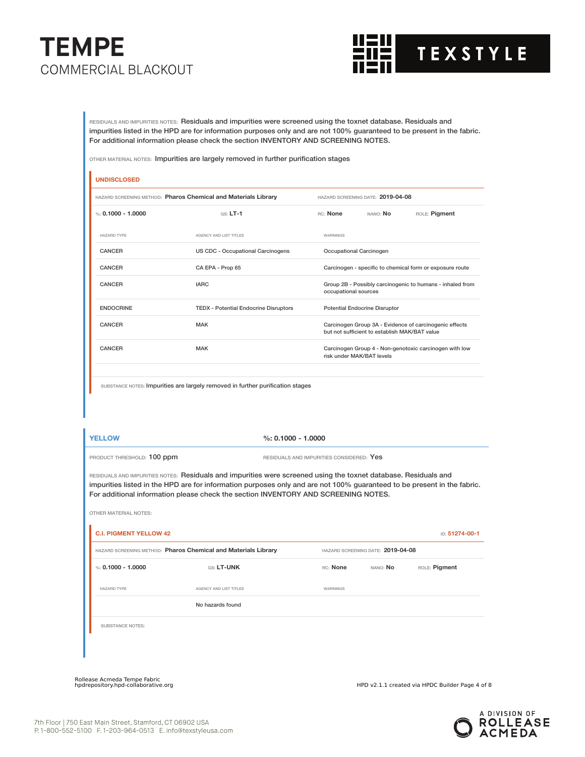

RESIDUALS AND IMPURITIES NOTES: Residuals and impurities were screened using the toxnet database. Residuals and impurities listed in the HPD are for information purposes only and are not 100% guaranteed to be present in the fabric. For additional information please check the section INVENTORY AND SCREENING NOTES.

OTHER MATERIAL NOTES: Impurities are largely removed in further purification stages

## **UNDISCLOSED** HAZARD SCREENING METHOD: **Pharos Chemical and Materials Library** HAZARD SCREENING DATE: **2019-04-08** %: **0.1000 - 1.0000** GS: **LT-1** RC: **None** NANO: **No** ROLE: **Pigment** HAZARD TYPE **AGENCY AND LIST TITLES** WARNINGS CANCER US CDC - Occupational Carcinogens Occupational Carcinogen CANCER CA EPA - Prop 65 Carcinogen - specific to chemical form or exposure route CANCER **IARC** IARC **IARC** Group 2B - Possibly carcinogenic to humans - inhaled from occupational sources ENDOCRINE TEDX - Potential Endocrine Disruptors Potential Endocrine Disruptor CANCER MAK Carcinogen Group 3A - Evidence of carcinogenic effects but not sufficient to establish MAK/BAT value CANCER MAK MAK Carcinogen Group 4 - Non-genotoxic carcinogen with low risk under MAK/BAT levels

SUBSTANCE NOTES: Impurities are largely removed in further purification stages

**YELLOW %: 0.1000 - 1.0000**

PRODUCT THRESHOLD: 100 ppm RESIDUALS AND IMPURITIES CONSIDERED: Yes

OTHER MATERIAL NOTES:

RESIDUALS AND IMPURITIES NOTES: Residuals and impurities were screened using the toxnet database. Residuals and impurities listed in the HPD are for information purposes only and are not 100% guaranteed to be present in the fabric. For additional information please check the section INVENTORY AND SCREENING NOTES.

| HAZARD SCREENING METHOD: Pharos Chemical and Materials Library | HAZARD SCREENING DATE: 2019-04-08 |                 |          |               |
|----------------------------------------------------------------|-----------------------------------|-----------------|----------|---------------|
| %: $0.1000 - 1.0000$                                           | GS: LT-UNK                        | RC: None        | NANO: No | ROLE: Pigment |
| <b>HAZARD TYPE</b>                                             | AGENCY AND LIST TITLES            | <b>WARNINGS</b> |          |               |
|                                                                | No hazards found                  |                 |          |               |
| <b>SUBSTANCE NOTES:</b>                                        |                                   |                 |          |               |

Rollease Acmeda Tempe Fabric

HPD v2.1.1 created via HPDC Builder Page 4 of 8

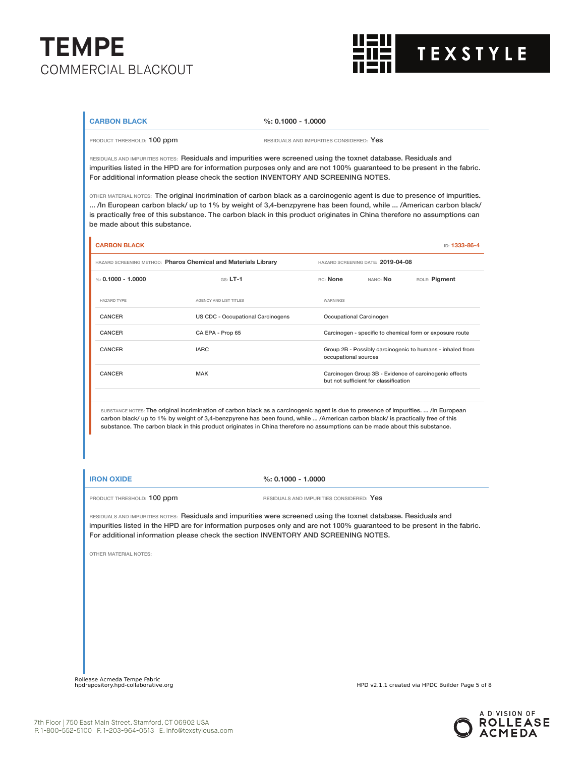

### **CARBON BLACK %: 0.1000 - 1.0000**

PRODUCT THRESHOLD: 100 ppm **RESIDUALS** AND IMPURITIES CONSIDERED: Yes

RESIDUALS AND IMPURITIES NOTES: Residuals and impurities were screened using the toxnet database. Residuals and impurities listed in the HPD are for information purposes only and are not 100% guaranteed to be present in the fabric. For additional information please check the section INVENTORY AND SCREENING NOTES.

OTHER MATERIAL NOTES: The original incrimination of carbon black as a carcinogenic agent is due to presence of impurities. ... /In European carbon black/ up to 1% by weight of 3,4-benzpyrene has been found, while ... /American carbon black/ is practically free of this substance. The carbon black in this product originates in China therefore no assumptions can be made about this substance.

| <b>CARBON BLACK</b>                                            |                                   |                                                                                   |                                       | ID: 1333-86-4                                            |
|----------------------------------------------------------------|-----------------------------------|-----------------------------------------------------------------------------------|---------------------------------------|----------------------------------------------------------|
| HAZARD SCREENING METHOD: Pharos Chemical and Materials Library |                                   |                                                                                   | HAZARD SCREENING DATE: 2019-04-08     |                                                          |
| %: $0.1000 - 1.0000$                                           | $GS: LT-1$                        | RC: None                                                                          | NANO: No                              | ROLE: Pigment                                            |
| HAZARD TYPE                                                    | AGENCY AND LIST TITLES            | <b>WARNINGS</b>                                                                   |                                       |                                                          |
| <b>CANCER</b>                                                  | US CDC - Occupational Carcinogens |                                                                                   | Occupational Carcinogen               |                                                          |
| CANCER                                                         | CA EPA - Prop 65                  |                                                                                   |                                       | Carcinogen - specific to chemical form or exposure route |
| CANCER                                                         | <b>IARC</b>                       | Group 2B - Possibly carcinogenic to humans - inhaled from<br>occupational sources |                                       |                                                          |
| CANCER                                                         | <b>MAK</b>                        |                                                                                   | but not sufficient for classification | Carcinogen Group 3B - Evidence of carcinogenic effects   |
|                                                                |                                   |                                                                                   |                                       |                                                          |

SUBSTANCE NOTES: The original incrimination of carbon black as a carcinogenic agent is due to presence of impurities. ... /In European carbon black/ up to 1% by weight of 3,4-benzpyrene has been found, while ... /American carbon black/ is practically free of this substance. The carbon black in this product originates in China therefore no assumptions can be made about this substance.

**IRON OXIDE %: 0.1000 - 1.0000**

PRODUCT THRESHOLD: 100 ppm RESIDUALS AND IMPURITIES CONSIDERED: Yes

RESIDUALS AND IMPURITIES NOTES: Residuals and impurities were screened using the toxnet database. Residuals and impurities listed in the HPD are for information purposes only and are not 100% guaranteed to be present in the fabric. For additional information please check the section INVENTORY AND SCREENING NOTES.

OTHER MATERIAL NOTES:

Rollease Acmeda Tempe Fabric

HPD v2.1.1 created via HPDC Builder Page 5 of 8

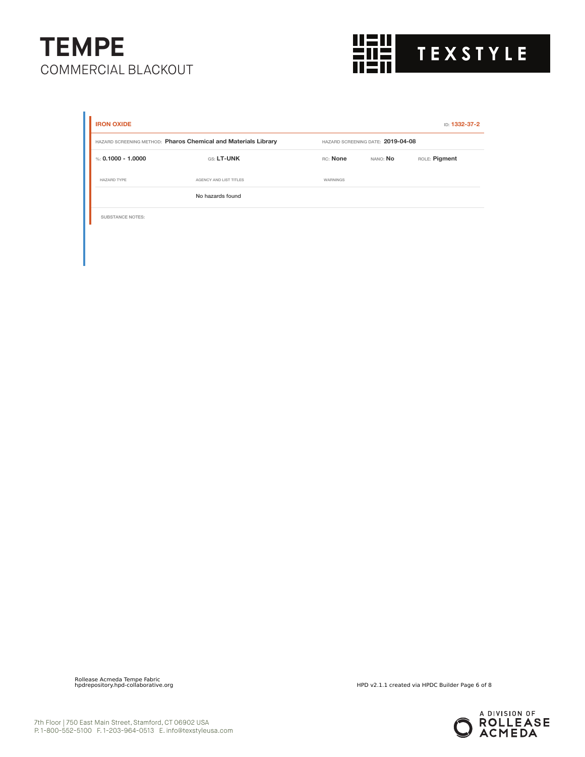

| <b>IRON OXIDE</b>                                              |                        |                                   |          | ID: 1332-37-2 |
|----------------------------------------------------------------|------------------------|-----------------------------------|----------|---------------|
| HAZARD SCREENING METHOD: Pharos Chemical and Materials Library |                        | HAZARD SCREENING DATE: 2019-04-08 |          |               |
| %: $0.1000 - 1.0000$                                           | GS: LT-UNK             | <b>RC:</b> None                   | NANO: No | ROLE: Pigment |
| <b>HAZARD TYPE</b>                                             | AGENCY AND LIST TITLES | WARNINGS                          |          |               |
|                                                                | No hazards found       |                                   |          |               |
| <b>SUBSTANCE NOTES:</b>                                        |                        |                                   |          |               |

Rollease Acmeda Tempe Fabric

HPD v2.1.1 created via HPDC Builder Page 6 of 8

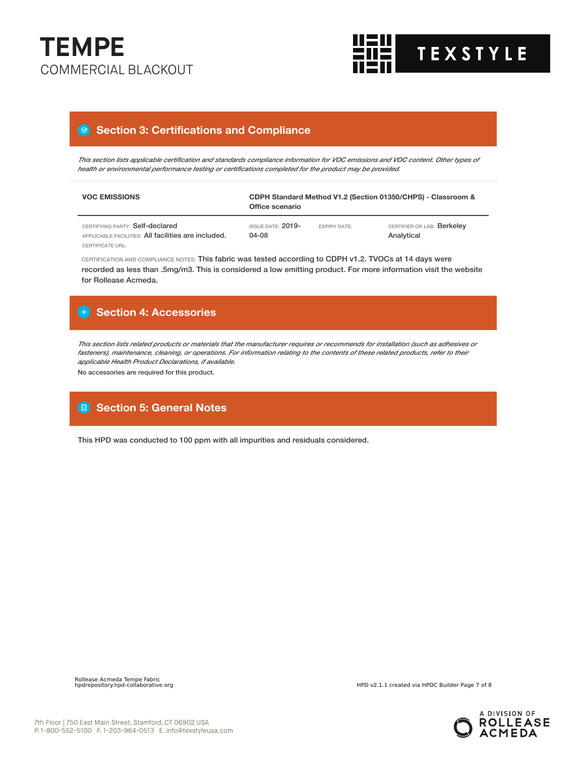



### **Section 3: Certifications and Compliance**

This section lists applicable certification and standards compliance information for VOC emissions and VOC content. Other types of *health or environmental performance testing or certifications completed for the product may be provided.*

| <b>VOC EMISSIONS</b>                                                                                              | CDPH Standard Method V1.2 (Section 01350/CHPS) - Classroom &<br>Office scenario |                     |                                          |  |
|-------------------------------------------------------------------------------------------------------------------|---------------------------------------------------------------------------------|---------------------|------------------------------------------|--|
| CERTIFYING PARTY: Self-declared<br>APPLICABLE FACILITIES: All facilities are included.<br><b>CERTIFICATE URL:</b> | ISSUE DATE: 2019-<br>04-08                                                      | <b>EXPIRY DATE:</b> | CERTIFIER OR LAB: Berkeley<br>Analytical |  |

CERTIFICATION AND COMPLIANCE NOTES: This fabric was tested according to CDPH v1.2. TVOCs at 14 days were recorded as less than .5mg/m3. This is considered a low emitting product. For more information visit the website for Rollease Acmeda.

## **Section 4: Accessories**

This section lists related products or materials that the manufacturer requires or recommends for installation (such as adhesives or fasteners), maintenance, cleaning, or operations. For information relating to the contents of these related products, refer to their *applicable Health Product Declarations, if available.*

No accessories are required for this product.

### **Section 5: General Notes**

This HPD was conducted to 100 ppm with all impurities and residuals considered.



HPD v2.1.1 created via HPDC Builder Page 7 of 8